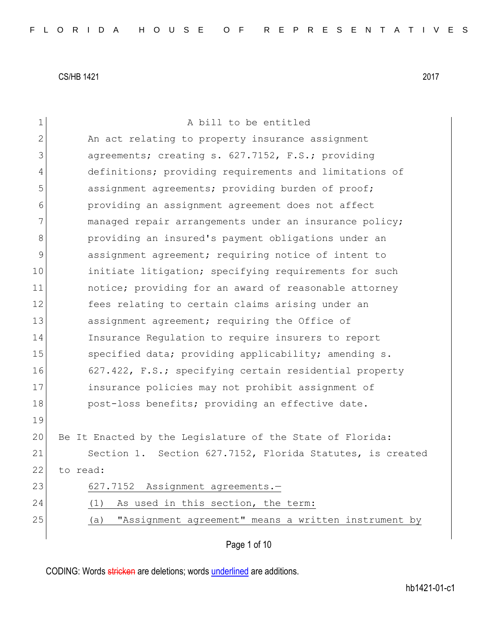| $\mathbf 1$  | A bill to be entitled                                       |
|--------------|-------------------------------------------------------------|
| $\mathbf{2}$ | An act relating to property insurance assignment            |
| 3            | agreements; creating s. 627.7152, F.S.; providing           |
| 4            | definitions; providing requirements and limitations of      |
| 5            | assignment agreements; providing burden of proof;           |
| 6            | providing an assignment agreement does not affect           |
| 7            | managed repair arrangements under an insurance policy;      |
| 8            | providing an insured's payment obligations under an         |
| 9            | assignment agreement; requiring notice of intent to         |
| 10           | initiate litigation; specifying requirements for such       |
| 11           | notice; providing for an award of reasonable attorney       |
| 12           | fees relating to certain claims arising under an            |
| 13           | assignment agreement; requiring the Office of               |
| 14           | Insurance Regulation to require insurers to report          |
| 15           | specified data; providing applicability; amending s.        |
| 16           | 627.422, F.S.; specifying certain residential property      |
| 17           | insurance policies may not prohibit assignment of           |
| 18           | post-loss benefits; providing an effective date.            |
| 19           |                                                             |
| 20           | Be It Enacted by the Legislature of the State of Florida:   |
| 21           | Section 1. Section 627.7152, Florida Statutes, is created   |
| 22           | to read:                                                    |
| 23           | 627.7152 Assignment agreements.-                            |
| 24           | As used in this section, the term:<br>(1)                   |
| 25           | "Assignment agreement" means a written instrument by<br>(a) |
|              |                                                             |
|              | Page 1 of 10                                                |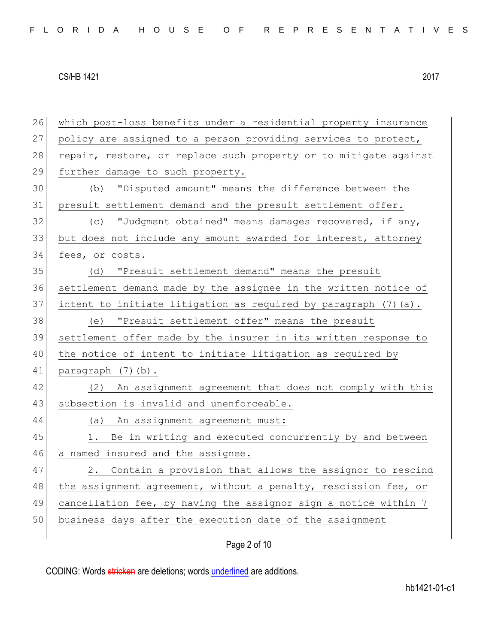26 which post-loss benefits under a residential property insurance 27 policy are assigned to a person providing services to protect, 28 repair, restore, or replace such property or to mitigate against 29 further damage to such property. 30 (b) "Disputed amount" means the difference between the 31 presuit settlement demand and the presuit settlement offer. 32 (c) "Judgment obtained" means damages recovered, if any, 33 but does not include any amount awarded for interest, attorney 34 fees, or costs. 35 (d) "Presuit settlement demand" means the presuit 36 settlement demand made by the assignee in the written notice of 37 intent to initiate litigation as required by paragraph (7) (a). 38 (e) "Presuit settlement offer" means the presuit 39 settlement offer made by the insurer in its written response to 40 the notice of intent to initiate litigation as required by 41 paragraph (7)(b). 42 (2) An assignment agreement that does not comply with this 43 subsection is invalid and unenforceable. 44 (a) An assignment agreement must: 45 1. Be in writing and executed concurrently by and between 46 a named insured and the assignee. 47 2. Contain a provision that allows the assignor to rescind 48 the assignment agreement, without a penalty, rescission fee, or 49 cancellation fee, by having the assignor sign a notice within 7 50 business days after the execution date of the assignment

Page 2 of 10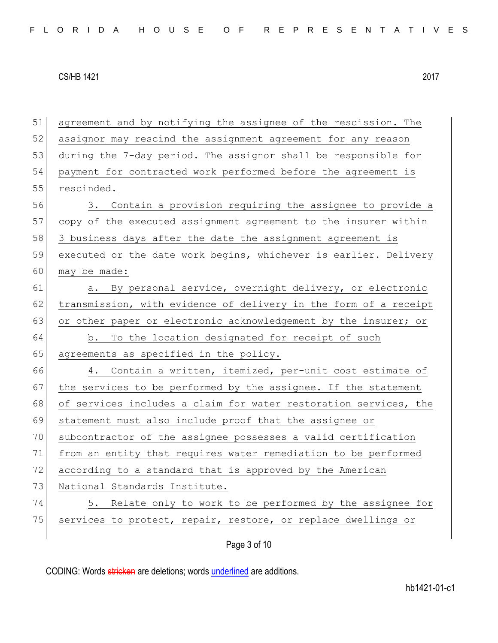51 agreement and by notifying the assignee of the rescission. The 52 assignor may rescind the assignment agreement for any reason 53 during the 7-day period. The assignor shall be responsible for 54 payment for contracted work performed before the agreement is 55 rescinded. 56 3. Contain a provision requiring the assignee to provide a 57 copy of the executed assignment agreement to the insurer within 58 3 business days after the date the assignment agreement is 59 executed or the date work begins, whichever is earlier. Delivery 60 may be made: 61 a. By personal service, overnight delivery, or electronic 62 transmission, with evidence of delivery in the form of a receipt 63 or other paper or electronic acknowledgement by the insurer; or 64 b. To the location designated for receipt of such 65 agreements as specified in the policy. 66 4. Contain a written, itemized, per-unit cost estimate of 67 the services to be performed by the assignee. If the statement 68 of services includes a claim for water restoration services, the 69 statement must also include proof that the assignee or 70 subcontractor of the assignee possesses a valid certification 71 from an entity that requires water remediation to be performed 72 according to a standard that is approved by the American 73 National Standards Institute. 74 5. Relate only to work to be performed by the assignee for 75 services to protect, repair, restore, or replace dwellings or

Page 3 of 10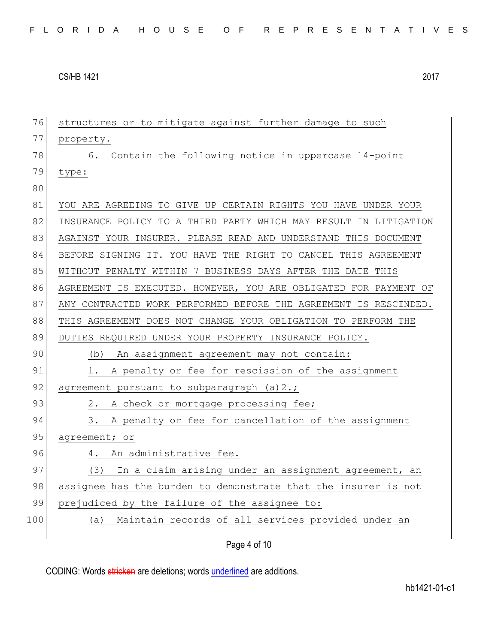| 76  | structures or to mitigate against further damage to such         |
|-----|------------------------------------------------------------------|
| 77  | property.                                                        |
| 78  | Contain the following notice in uppercase 14-point<br>6.         |
| 79  | type:                                                            |
| 80  |                                                                  |
| 81  | YOU ARE AGREEING TO GIVE UP CERTAIN RIGHTS YOU HAVE UNDER YOUR   |
| 82  | INSURANCE POLICY TO A THIRD PARTY WHICH MAY RESULT IN LITIGATION |
| 83  | AGAINST YOUR INSURER. PLEASE READ AND UNDERSTAND THIS DOCUMENT   |
| 84  | BEFORE SIGNING IT. YOU HAVE THE RIGHT TO CANCEL THIS AGREEMENT   |
| 85  | WITHOUT PENALTY WITHIN 7 BUSINESS DAYS AFTER THE DATE THIS       |
| 86  | AGREEMENT IS EXECUTED. HOWEVER, YOU ARE OBLIGATED FOR PAYMENT OF |
| 87  | ANY CONTRACTED WORK PERFORMED BEFORE THE AGREEMENT IS RESCINDED. |
| 88  | THIS AGREEMENT DOES NOT CHANGE YOUR OBLIGATION TO PERFORM THE    |
| 89  | DUTIES REQUIRED UNDER YOUR PROPERTY INSURANCE POLICY.            |
| 90  | An assignment agreement may not contain:<br>(b)                  |
| 91  | A penalty or fee for rescission of the assignment<br>1.          |
| 92  | agreement pursuant to subparagraph (a) 2.;                       |
| 93  | A check or mortgage processing fee;<br>2.                        |
| 94  | 3.<br>A penalty or fee for cancellation of the assignment        |
| 95  | agreement; or                                                    |
| 96  | 4. An administrative fee.                                        |
| 97  | In a claim arising under an assignment agreement, an<br>(3)      |
| 98  | assignee has the burden to demonstrate that the insurer is not   |
| 99  | prejudiced by the failure of the assignee to:                    |
| 100 | Maintain records of all services provided under an<br>(a)        |
|     |                                                                  |

Page 4 of 10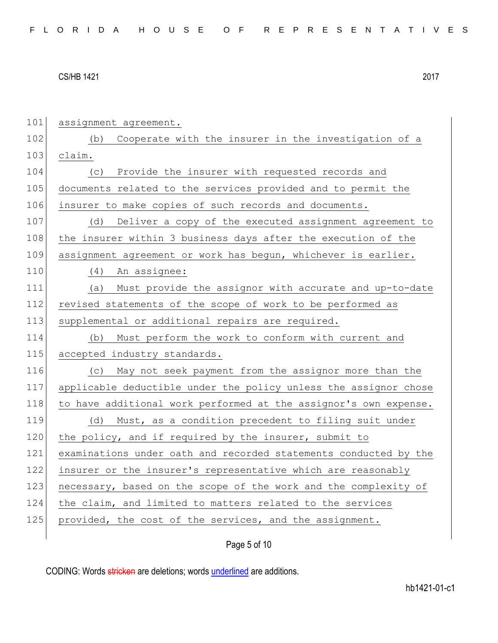| 101 | assignment agreement.                                            |
|-----|------------------------------------------------------------------|
| 102 | Cooperate with the insurer in the investigation of a<br>(b)      |
| 103 | claim.                                                           |
| 104 | Provide the insurer with requested records and<br>(C)            |
| 105 | documents related to the services provided and to permit the     |
| 106 | insurer to make copies of such records and documents.            |
| 107 | Deliver a copy of the executed assignment agreement to<br>(d)    |
| 108 | the insurer within 3 business days after the execution of the    |
| 109 | assignment agreement or work has begun, whichever is earlier.    |
| 110 | An assignee:<br>(4)                                              |
| 111 | Must provide the assignor with accurate and up-to-date<br>(a)    |
| 112 | revised statements of the scope of work to be performed as       |
| 113 | supplemental or additional repairs are required.                 |
| 114 | Must perform the work to conform with current and<br>(b)         |
| 115 | accepted industry standards.                                     |
| 116 | (c) May not seek payment from the assignor more than the         |
| 117 | applicable deductible under the policy unless the assignor chose |
| 118 | to have additional work performed at the assignor's own expense. |
| 119 | (d) Must, as a condition precedent to filing suit under          |
| 120 | the policy, and if required by the insurer, submit to            |
| 121 | examinations under oath and recorded statements conducted by the |
| 122 | insurer or the insurer's representative which are reasonably     |
| 123 | necessary, based on the scope of the work and the complexity of  |
| 124 | the claim, and limited to matters related to the services        |
| 125 | provided, the cost of the services, and the assignment.          |
|     |                                                                  |

Page 5 of 10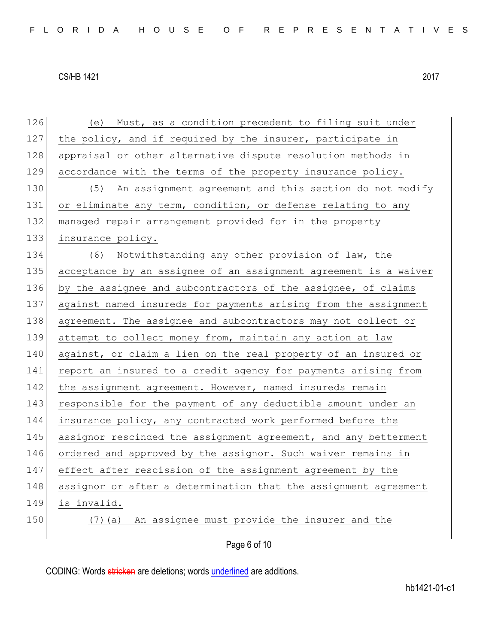126 (e) Must, as a condition precedent to filing suit under 127 the policy, and if required by the insurer, participate in 128 appraisal or other alternative dispute resolution methods in 129 accordance with the terms of the property insurance policy. 130 (5) An assignment agreement and this section do not modify 131 or eliminate any term, condition, or defense relating to any 132 managed repair arrangement provided for in the property 133 insurance policy. 134 (6) Notwithstanding any other provision of law, the 135 acceptance by an assignee of an assignment agreement is a waiver 136 by the assignee and subcontractors of the assignee, of claims 137 against named insureds for payments arising from the assignment 138 agreement. The assignee and subcontractors may not collect or 139 attempt to collect money from, maintain any action at law 140 against, or claim a lien on the real property of an insured or 141 report an insured to a credit agency for payments arising from 142 the assignment agreement. However, named insureds remain 143 responsible for the payment of any deductible amount under an 144 insurance policy, any contracted work performed before the 145 assignor rescinded the assignment agreement, and any betterment 146 ordered and approved by the assignor. Such waiver remains in 147 effect after rescission of the assignment agreement by the 148 assignor or after a determination that the assignment agreement 149 is invalid. 150 (7) (a) An assignee must provide the insurer and the

Page 6 of 10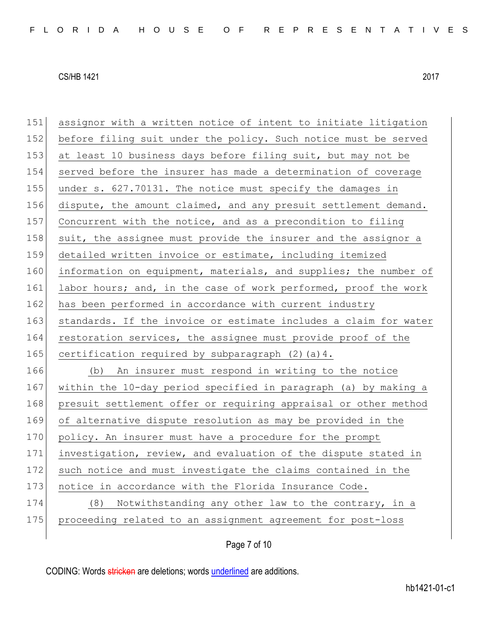| 151 | assignor with a written notice of intent to initiate litigation  |
|-----|------------------------------------------------------------------|
| 152 | before filing suit under the policy. Such notice must be served  |
| 153 | at least 10 business days before filing suit, but may not be     |
| 154 | served before the insurer has made a determination of coverage   |
| 155 | under s. 627.70131. The notice must specify the damages in       |
| 156 | dispute, the amount claimed, and any presuit settlement demand.  |
| 157 | Concurrent with the notice, and as a precondition to filing      |
| 158 | suit, the assignee must provide the insurer and the assignor a   |
| 159 | detailed written invoice or estimate, including itemized         |
| 160 | information on equipment, materials, and supplies; the number of |
| 161 | labor hours; and, in the case of work performed, proof the work  |
| 162 | has been performed in accordance with current industry           |
| 163 | standards. If the invoice or estimate includes a claim for water |
| 164 | restoration services, the assignee must provide proof of the     |
| 165 | certification required by subparagraph (2) (a) 4.                |
| 166 | (b) An insurer must respond in writing to the notice             |
|     |                                                                  |
| 167 | within the 10-day period specified in paragraph (a) by making a  |
| 168 | presuit settlement offer or requiring appraisal or other method  |
| 169 | of alternative dispute resolution as may be provided in the      |
| 170 | policy. An insurer must have a procedure for the prompt          |
| 171 | investigation, review, and evaluation of the dispute stated in   |
| 172 | such notice and must investigate the claims contained in the     |
| 173 | notice in accordance with the Florida Insurance Code.            |
| 174 | (8) Notwithstanding any other law to the contrary, in a          |
| 175 | proceeding related to an assignment agreement for post-loss      |

Page 7 of 10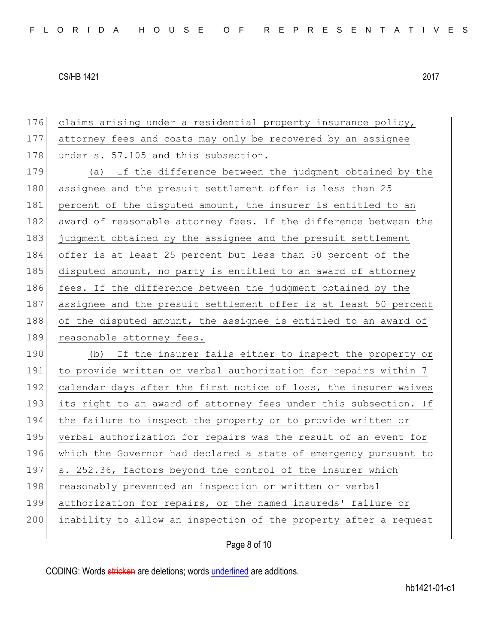| 176 | claims arising under a residential property insurance policy,    |
|-----|------------------------------------------------------------------|
| 177 | attorney fees and costs may only be recovered by an assignee     |
| 178 | under s. 57.105 and this subsection.                             |
| 179 | (a) If the difference between the judgment obtained by the       |
| 180 | assignee and the presuit settlement offer is less than 25        |
| 181 | percent of the disputed amount, the insurer is entitled to an    |
| 182 | award of reasonable attorney fees. If the difference between the |
| 183 | judgment obtained by the assignee and the presuit settlement     |
| 184 | offer is at least 25 percent but less than 50 percent of the     |
| 185 | disputed amount, no party is entitled to an award of attorney    |
| 186 | fees. If the difference between the judgment obtained by the     |
| 187 | assignee and the presuit settlement offer is at least 50 percent |
| 188 | of the disputed amount, the assignee is entitled to an award of  |
|     |                                                                  |
| 189 | reasonable attorney fees.                                        |
| 190 | (b) If the insurer fails either to inspect the property or       |
| 191 | to provide written or verbal authorization for repairs within 7  |
| 192 | calendar days after the first notice of loss, the insurer waives |
| 193 | its right to an award of attorney fees under this subsection. If |
| 194 | the failure to inspect the property or to provide written or     |
| 195 | verbal authorization for repairs was the result of an event for  |
| 196 | which the Governor had declared a state of emergency pursuant to |
| 197 | s. 252.36, factors beyond the control of the insurer which       |
| 198 | reasonably prevented an inspection or written or verbal          |
| 199 | authorization for repairs, or the named insureds' failure or     |
| 200 | inability to allow an inspection of the property after a request |

Page 8 of 10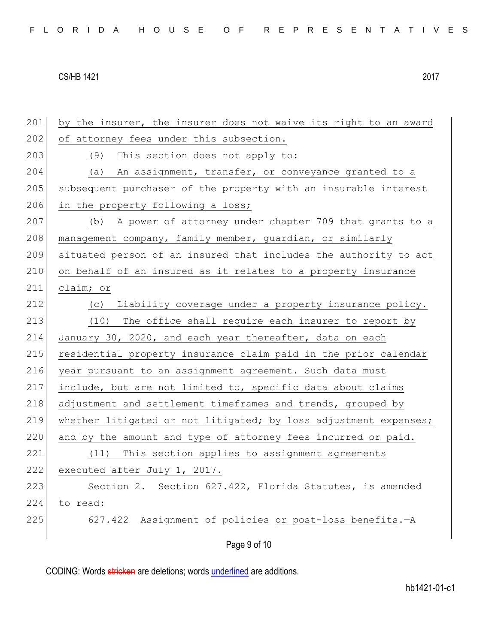201 by the insurer, the insurer does not waive its right to an award 202 of attorney fees under this subsection. 203 (9) This section does not apply to: 204 (a) An assignment, transfer, or conveyance granted to a 205 subsequent purchaser of the property with an insurable interest 206 in the property following a loss; 207 (b) A power of attorney under chapter 709 that grants to a 208 management company, family member, quardian, or similarly 209 situated person of an insured that includes the authority to act 210 on behalf of an insured as it relates to a property insurance 211 claim; or 212 (c) Liability coverage under a property insurance policy. 213 (10) The office shall require each insurer to report by 214 January 30, 2020, and each year thereafter, data on each 215 residential property insurance claim paid in the prior calendar 216 year pursuant to an assignment agreement. Such data must 217 include, but are not limited to, specific data about claims 218 adjustment and settlement timeframes and trends, grouped by 219 whether litigated or not litigated; by loss adjustment expenses; 220 and by the amount and type of attorney fees incurred or paid. 221 (11) This section applies to assignment agreements 222 executed after July 1, 2017. 223 Section 2. Section 627.422, Florida Statutes, is amended 224 to read: 225 627.422 Assignment of policies or post-loss benefits. - A

Page 9 of 10